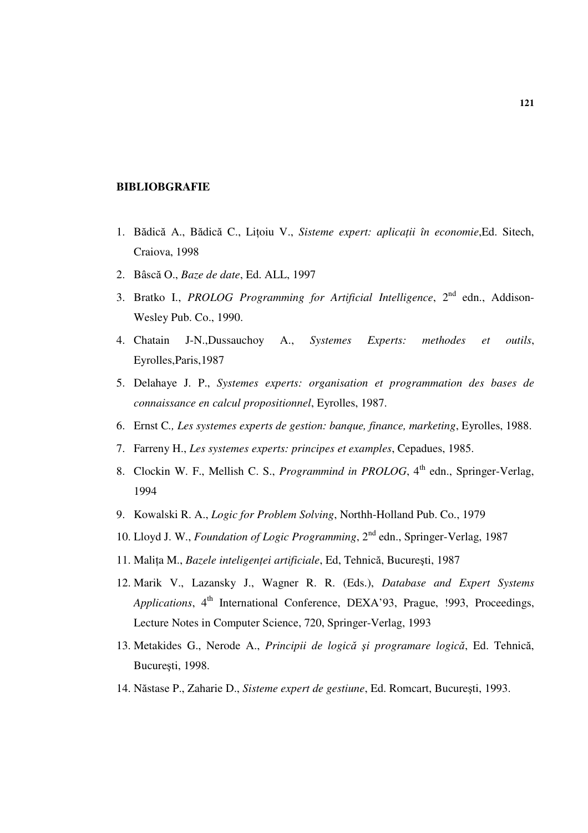## **BIBLIOBGRAFIE**

- 1. Bădică A., Bădică C., Liţoiu V., *Sisteme expert: aplica*ţ*ii în economie*,Ed. Sitech, Craiova, 1998
- 2. Bâscă O., *Baze de date*, Ed. ALL, 1997
- 3. Bratko I., *PROLOG Programming for Artificial Intelligence*, 2nd edn., Addison-Wesley Pub. Co., 1990.
- 4. Chatain J-N.,Dussauchoy A., *Systemes Experts: methodes et outils*, Eyrolles,Paris,1987
- 5. Delahaye J. P., *Systemes experts: organisation et programmation des bases de connaissance en calcul propositionnel*, Eyrolles, 1987.
- 6. Ernst C*., Les systemes experts de gestion: banque, finance, marketing*, Eyrolles, 1988.
- 7. Farreny H., *Les systemes experts: principes et examples*, Cepadues, 1985.
- 8. Clockin W. F., Mellish C. S., *Programmind in PROLOG*, 4<sup>th</sup> edn., Springer-Verlag, 1994
- 9. Kowalski R. A., *Logic for Problem Solving*, Northh-Holland Pub. Co., 1979
- 10. Lloyd J. W., *Foundation of Logic Programming*, 2nd edn., Springer-Verlag, 1987
- 11. Maliţa M., *Bazele inteligen*ţ*ei artificiale*, Ed, Tehnică, Bucureşti, 1987
- 12. Marik V., Lazansky J., Wagner R. R. (Eds.), *Database and Expert Systems Applications*, 4<sup>th</sup> International Conference, DEXA'93, Prague, !993, Proceedings, Lecture Notes in Computer Science, 720, Springer-Verlag, 1993
- 13. Metakides G., Nerode A., *Principii de logic*ă ş*i programare logic*ă, Ed. Tehnică, Bucureşti, 1998.
- 14. Năstase P., Zaharie D., *Sisteme expert de gestiune*, Ed. Romcart, Bucureşti, 1993.